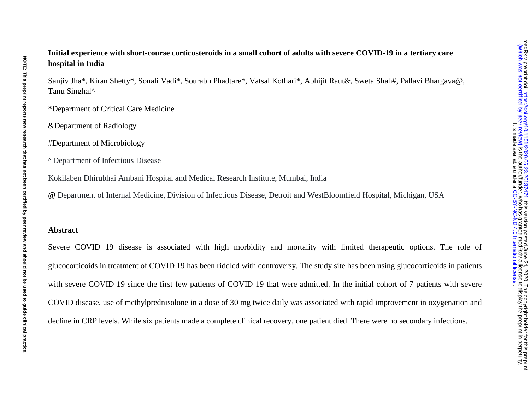# **Initial experience with short-course corticosteroids in a small cohort of adults with severe COVID-19 in a tertiary care hospital in India**

Sanjiv Jha\*, Kiran Shetty\*, Sonali Vadi\*, Sourabh Phadtare\*, Vatsal Kothari\*, Abhijit Raut&, Sweta Shah#, Pallavi Bhargava@, Tanu Singhal^

\*Department of Critical Care Medicine

&Department of Radiology

#Department of Microbiology

^ Department of Infectious Disease

Kokilaben Dhirubhai Ambani Hospital and Medical Research Institute, Mumbai, India

**@** Department of Internal Medicine, Division of Infectious Disease, Detroit and WestBloomfield Hospital, Michigan, USA

#### **Abstract**

Severe COVID 19 disease is associated with high morbidity and mortality with limited therapeutic options. The role of glucocorticoids in treatment of COVID 19 has been riddled with controversy. The study site has been using glucocorticoids in patients with severe COVID 19 since the first few patients of COVID 19 that were admitted. In the initial cohort of 7 patients with severe COVID disease, use of methylprednisolone in a dose of 30 mg twice daily was associated with rapid improvement in oxygenation and decline in CRP levels. While six patients made a complete clinical recovery, one patient died. There were no secondary infections.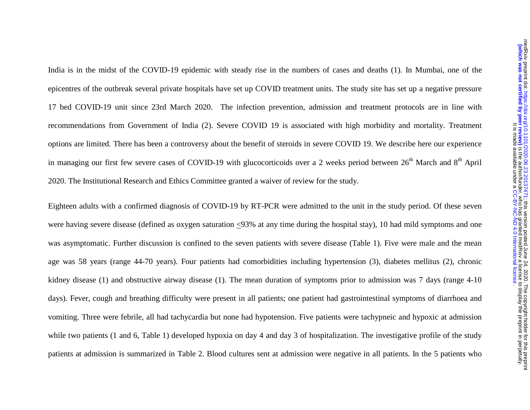India is in the midst of the COVID-19 epidemic with steady rise in the numbers of cases and deaths (1). In Mumbai, one of the epicentres of the outbreak several private hospitals have set up COVID treatment units. The study site has set up a negative pressure 17 bed COVID-19 unit since 23rd March 2020. The infection prevention, admission and treatment protocols are in line with recommendations from Government of India (2). Severe COVID 19 is associated with high morbidity and mortality. Treatment options are limited. There has been a controversy about the benefit of steroids in severe COVID 19. We describe here our experience in managing our first few severe cases of COVID-19 with glucocorticoids over a 2 weeks period between  $26<sup>th</sup>$  March and  $8<sup>th</sup>$  April 2020. The Institutional Research and Ethics Committee granted a waiver of review for the study.

Eighteen adults with a confirmed diagnosis of COVID-19 by RT-PCR were admitted to the unit in the study period. Of these seven were having severe disease (defined as oxygen saturation <93% at any time during the hospital stay), 10 had mild symptoms and one was asymptomatic. Further discussion is confined to the seven patients with severe disease (Table 1). Five were male and the mean age was 58 years (range 44-70 years). Four patients had comorbidities including hypertension (3), diabetes mellitus (2), chronic kidney disease (1) and obstructive airway disease (1). The mean duration of symptoms prior to admission was 7 days (range 4-10 days). Fever, cough and breathing difficulty were present in all patients; one patient had gastrointestinal symptoms of diarrhoea and vomiting. Three were febrile, all had tachycardia but none had hypotension. Five patients were tachypneic and hypoxic at admission while two patients (1 and 6, Table 1) developed hypoxia on day 4 and day 3 of hospitalization. The investigative profile of the study patients at admission is summarized in Table 2. Blood cultures sent at admission were negative in all patients. In the 5 patients who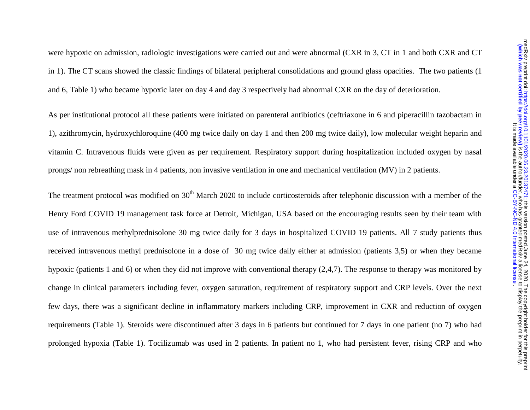were hypoxic on admission, radiologic investigations were carried out and were abnormal (CXR in 3, CT in 1 and both CXR and CT in 1). The CT scans showed the classic findings of bilateral peripheral consolidations and ground glass opacities. The two patients (1 and 6, Table 1) who became hypoxic later on day 4 and day 3 respectively had abnormal CXR on the day of deterioration.

As per institutional protocol all these patients were initiated on parenteral antibiotics (ceftriaxone in 6 and piperacillin tazobactam in 1), azithromycin, hydroxychloroquine (400 mg twice daily on day 1 and then 200 mg twice daily), low molecular weight heparin and vitamin C. Intravenous fluids were given as per requirement. Respiratory support during hospitalization included oxygen by nasal prongs/ non rebreathing mask in 4 patients, non invasive ventilation in one and mechanical ventilation (MV) in 2 patients.

The treatment protocol was modified on 30<sup>th</sup> March 2020 to include corticosteroids after telephonic discussion with a member of the Henry Ford COVID 19 management task force at Detroit, Michigan, USA based on the encouraging results seen by their team with use of intravenous methylprednisolone 30 mg twice daily for 3 days in hospitalized COVID 19 patients. All 7 study patients thus received intravenous methyl prednisolone in a dose of 30 mg twice daily either at admission (patients 3,5) or when they became hypoxic (patients 1 and 6) or when they did not improve with conventional therapy (2,4,7). The response to therapy was monitored by change in clinical parameters including fever, oxygen saturation, requirement of respiratory support and CRP levels. Over the next few days, there was a significant decline in inflammatory markers including CRP, improvement in CXR and reduction of oxygen requirements (Table 1). Steroids were discontinued after 3 days in 6 patients but continued for 7 days in one patient (no 7) who had prolonged hypoxia (Table 1). Tocilizumab was used in 2 patients. In patient no 1, who had persistent fever, rising CRP and who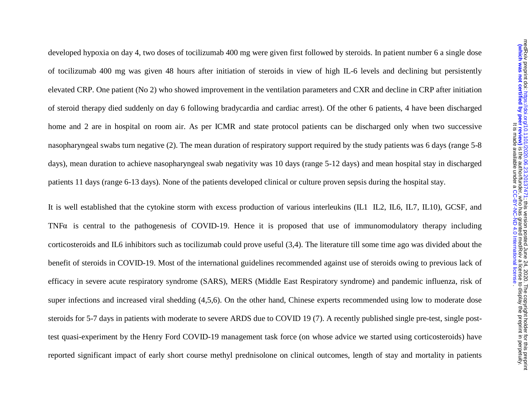developed hypoxia on day 4, two doses of tocilizumab 400 mg were given first followed by steroids. In patient number 6 a single dose of tocilizumab 400 mg was given 48 hours after initiation of steroids in view of high IL-6 levels and declining but persistently elevated CRP. One patient (No 2) who showed improvement in the ventilation parameters and CXR and decline in CRP after initiation of steroid therapy died suddenly on day 6 following bradycardia and cardiac arrest). Of the other 6 patients, 4 have been discharged home and 2 are in hospital on room air. As per ICMR and state protocol patients can be discharged only when two successive nasopharyngeal swabs turn negative (2). The mean duration of respiratory support required by the study patients was 6 days (range 5-8 days), mean duration to achieve nasopharyngeal swab negativity was 10 days (range 5-12 days) and mean hospital stay in discharged patients 11 days (range 6-13 days). None of the patients developed clinical or culture proven sepsis during the hospital stay.

It is well established that the cytokine storm with excess production of various interleukins (IL1 IL2, IL6, IL7, IL10), GCSF, and TNF $\alpha$  is central to the pathogenesis of COVID-19. Hence it is proposed that use of immunomodulatory therapy including corticosteroids and IL6 inhibitors such as tocilizumab could prove useful (3,4). The literature till some time ago was divided about the benefit of steroids in COVID-19. Most of the international guidelines recommended against use of steroids owing to previous lack of efficacy in severe acute respiratory syndrome (SARS), MERS (Middle East Respiratory syndrome) and pandemic influenza, risk of super infections and increased viral shedding (4,5,6). On the other hand, Chinese experts recommended using low to moderate dose steroids for 5-7 days in patients with moderate to severe ARDS due to COVID 19 (7). A recently published single pre-test, single posttest quasi-experiment by the Henry Ford COVID-19 management task force (on whose advice we started using corticosteroids) have reported significant impact of early short course methyl prednisolone on clinical outcomes, length of stay and mortality in patients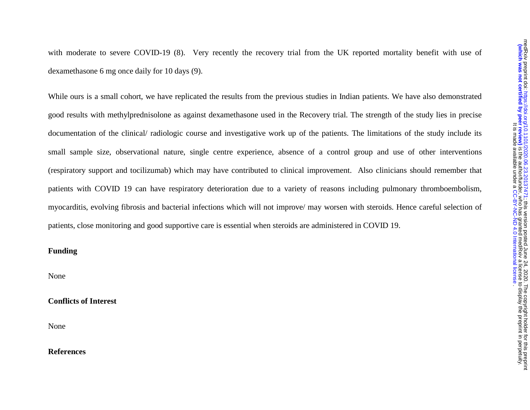with moderate to severe COVID-19 (8). Very recently the recovery trial from the UK reported mortality benefit with use of dexamethasone 6 mg once daily for 10 days (9).

While ours is a small cohort, we have replicated the results from the previous studies in Indian patients. We have also demonstrated good results with methylprednisolone as against dexamethasone used in the Recovery trial. The strength of the study lies in precise documentation of the clinical/ radiologic course and investigative work up of the patients. The limitations of the study include its small sample size, observational nature, single centre experience, absence of a control group and use of other interventions (respiratory support and tocilizumab) which may have contributed to clinical improvement. Also clinicians should remember that patients with COVID 19 can have respiratory deterioration due to a variety of reasons including pulmonary thromboembolism, myocarditis, evolving fibrosis and bacterial infections which will not improve/ may worsen with steroids. Hence careful selection of patients, close monitoring and good supportive care is essential when steroids are administered in COVID 19.

### **Funding**

None

## **Conflicts of Interest**

None

#### **References**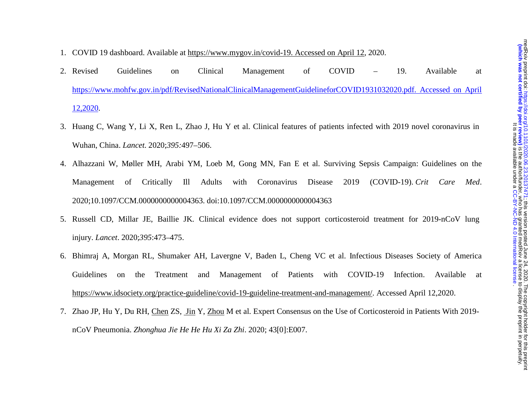#### 1. COVID 19 dashboard. Available at https://www.mygov.in/covid-19. Accessed on April 12, 2020.

- 2. Revised Revised Guidelines on Clinical Management of COVID – 19. Available at https://www.mohfw.gov.in/pdf/RevisedNationalClinicalManagementGuidelineforCOVID1931032020.pdf. Accessed on April 12,2020.
- 3. Huang C, Wang Y, Li X, Ren L, Zhao J, Hu Y et al. Clinical features of patients infected with 2019 novel coronavirus in Wuhan, China. *Lancet*. 2020;*395:*497–506.
- 4. Alhazzani W, Møller MH, Arabi YM, Loeb M, Gong MN, Fan E et al. Surviving Sepsis Campaign: Guidelines on the Management of Critically Ill Adults with Coronavirus Disease 2019 (COVID-19). *Crit Care Med*. 2020;10.1097/CCM.0000000000004363. doi:10.1097/CCM.0000000000004363
- 5. Russell CD, Millar JE, Baillie JK. Clinical evidence does not support corticosteroid treatment for 2019-nCoV lung injury. *Lancet*. 2020;*395*:473–475.
- 6. Bhimraj A, Morgan RL, Shumaker AH, Lavergne V, Baden L, Cheng VC et al. Infectious Diseases Society of America Guidelines on the Treatment and Management of Patients with COVID-19 Infection. Available at https://www.idsociety.org/practice-guideline/covid-19-guideline-treatment-and-management/. Accessed April 12,2020.
- 7. Zhao JP, Hu Y, Du RH, <u>Chen</u> ZS, Jin Y, Zhou M et al. Expert Consensus on the Use of Corticosteroid in Patients With 2019nCoV Pneumonia. *Zhonghua Jie He He Hu Xi Za Zhi*. 2020; 43[0]:E007.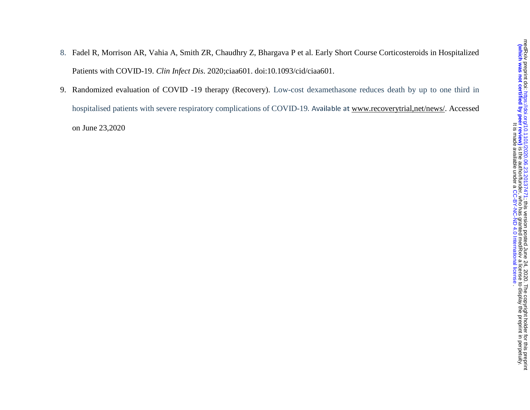- medRxiv preprint doi: https://doi.org/10.1101/2020.06.23.20137471; this version posted June 24, 2020. The copyright holder for this preprint<br>Mhich was not certified by peer review) is the author/funder, who has granted med The copyright holder for this preprint this service of 2020. [;](https://doi.org/10.1101/2020.06.23.20137471) https://doi.org/2020.09.23.20137471 doi: medPxiv preprint this version posted June 24, 2020. I he copyright polen in the preprint. who has granted by perface to display the author/funder, who has granted medRxix a license to display the preprint in perpetuity. . [CC-BY-NC-ND 4.0 International license](http://creativecommons.org/licenses/by-nc-nd/4.0/) It is made available under a
- 8. Fadel R, Morrison AR, Vahia A, Smith ZR, Chaudhry Z, Bhargava P et al. Early Short Course Corticosteroids in Hospitalized Patients with COVID-19. *Clin Infect Dis*. 2020;ciaa601. doi:10.1093/cid/ciaa601.
- 9. Randomized evaluation of COVID -19 therapy (Recovery). Low-cost dexamethasone reduces death by up to one third in hospitalised patients with severe respiratory complications of COVID-19. Available at www.recoverytrial,net/news/. Accessed on June 23,2020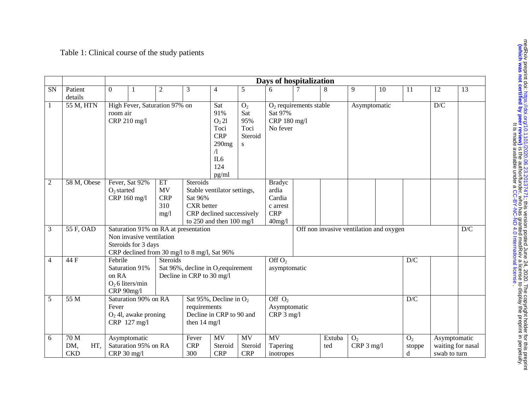# Table 1: Clinical course of the study patients

|                |                                  | Days of hospitalization                                                                                                                 |                                                                                                                |                                                                                                                                  |                                                                                 |   |                                                                         |                       |                                         |                              |    |                               |                              |                   |
|----------------|----------------------------------|-----------------------------------------------------------------------------------------------------------------------------------------|----------------------------------------------------------------------------------------------------------------|----------------------------------------------------------------------------------------------------------------------------------|---------------------------------------------------------------------------------|---|-------------------------------------------------------------------------|-----------------------|-----------------------------------------|------------------------------|----|-------------------------------|------------------------------|-------------------|
| <b>SN</b>      | Patient<br>details               | $\boldsymbol{0}$                                                                                                                        | $\overline{2}$                                                                                                 | 3                                                                                                                                | 4                                                                               | 5 | 6                                                                       |                       | 8                                       | 9                            | 10 | 11                            | 12                           | 13                |
| $\mathbf{1}$   | 55 M, HTN                        | High Fever, Saturation 97% on<br>room air<br>CRP 210 mg/l                                                                               | Sat<br>91%<br>O <sub>2</sub> 2l<br>Toci<br><b>CRP</b><br>290mg<br>$\Lambda$<br>IL <sub>6</sub><br>124<br>pg/ml | O <sub>2</sub><br>Sat<br>95%<br>Toci<br>Steroid<br>S                                                                             | $O2$ requirements stable<br>Asymptomatic<br>Sat 97%<br>CRP 180 mg/l<br>No fever |   |                                                                         |                       |                                         | D/C                          |    |                               |                              |                   |
| $\overline{c}$ | 58 M, Obese                      | Fever, Sat 92%<br>$O2$ started<br>CRP 160 mg/l                                                                                          | ET<br>MV<br><b>CRP</b><br>310<br>mg/l                                                                          | Steroids<br>Stable ventilator settings,<br>Sat 96%<br><b>CXR</b> better<br>CRP declined successively<br>to 250 and then 100 mg/l |                                                                                 |   | <b>Bradyc</b><br>ardia<br>Cardia<br>c arrest<br><b>CRP</b><br>$40$ mg/l |                       |                                         |                              |    |                               |                              |                   |
| 3              | 55 F, OAD                        | Saturation 91% on RA at presentation<br>Non invasive ventilation<br>Steroids for 3 days<br>CRP declined from 30 mg/l to 8 mg/l, Sat 96% |                                                                                                                |                                                                                                                                  |                                                                                 |   |                                                                         |                       | Off non invasive ventilation and oxygen |                              |    |                               |                              | D/C               |
| 4              | 44 F                             | Febrile<br>Saturation 91%<br>on RA<br>$O2$ 6 liters/min<br>CRP 90mg/l                                                                   | Steroids                                                                                                       | Sat 96%, decline in O <sub>2</sub> requirement<br>Decline in CRP to 30 mg/l                                                      |                                                                                 |   | Off $O2$<br>asymptomatic                                                |                       |                                         |                              |    | D/C                           |                              |                   |
| 5              | 55 M                             | Saturation 90% on RA<br>Fever<br>$O2$ 4l, awake proning<br>CRP 127 mg/l                                                                 |                                                                                                                | Sat 95%, Decline in $O_2$<br>requirements<br>Decline in CRP to 90 and<br>then 14 mg/l                                            |                                                                                 |   | Off $O2$<br>Asymptomatic<br>$CRP$ 3 mg/l<br><b>MV</b>                   |                       |                                         |                              |    | D/C                           |                              |                   |
| 6              | 70 M<br>DM,<br>HT,<br><b>CKD</b> | Asymptomatic<br>Saturation 95% on RA<br>CRP 30 mg/l                                                                                     |                                                                                                                | Fever<br><b>CRP</b><br>300                                                                                                       | <b>MV</b><br>MV<br>Steroid<br>Steroid<br><b>CRP</b><br><b>CRP</b>               |   |                                                                         | Tapering<br>inotropes | Extuba<br>ted                           | O <sub>2</sub><br>CRP 3 mg/l |    | O <sub>2</sub><br>stoppe<br>d | Asymptomatic<br>swab to turn | waiting for nasal |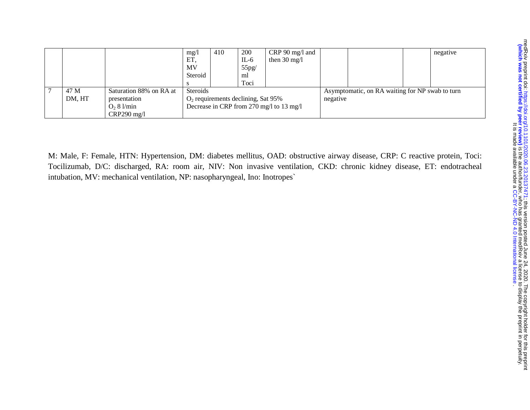|                        |      |                                          | mg/l            | 410 | 200    | CRP 90 mg/l and        |  |                                                 | negative |
|------------------------|------|------------------------------------------|-----------------|-----|--------|------------------------|--|-------------------------------------------------|----------|
|                        |      |                                          | ET,             |     | $IL-6$ | then $30 \text{ mg/l}$ |  |                                                 |          |
|                        |      |                                          | MV              |     | 55pg/  |                        |  |                                                 |          |
|                        |      |                                          | Steroid         |     | ml     |                        |  |                                                 |          |
|                        |      |                                          |                 |     | Toci   |                        |  |                                                 |          |
|                        | 47 M | Saturation 88% on RA at                  | <b>Steroids</b> |     |        |                        |  | Asymptomatic, on RA waiting for NP swab to turn |          |
| DM, HT<br>presentation |      | $O2$ requirements declining, Sat 95%     |                 |     |        | negative               |  |                                                 |          |
| $O2 8$ l/min           |      | Decrease in CRP from 270 mg/l to 13 mg/l |                 |     |        |                        |  |                                                 |          |
|                        |      | $CRP290$ mg/l                            |                 |     |        |                        |  |                                                 |          |

M: Male, F: Female, HTN: Hypertension, DM: diabetes mellitus, OAD: obstructive airway disease, CRP: C reactive protein, Toci: Tocilizumab, D/C: discharged, RA: room air, NIV: Non invasive ventilation, CKD: chronic kidney disease, ET: endotracheal intubation, MV: mechanical ventilation, NP: nasopharyngeal, Ino: Inotropes`